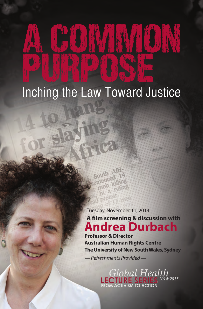# Puis POSE Inching the Law Toward Justice

A COMMANACIN

**Andrea Durbach** Tuesday, November 11, 2014 **A film screening & discussion with**

**Professor & Director Australian Human Rights Centre The University of New South Wales, Sydney**

*— Refreshments Provided —*

Global Health 2014-2015